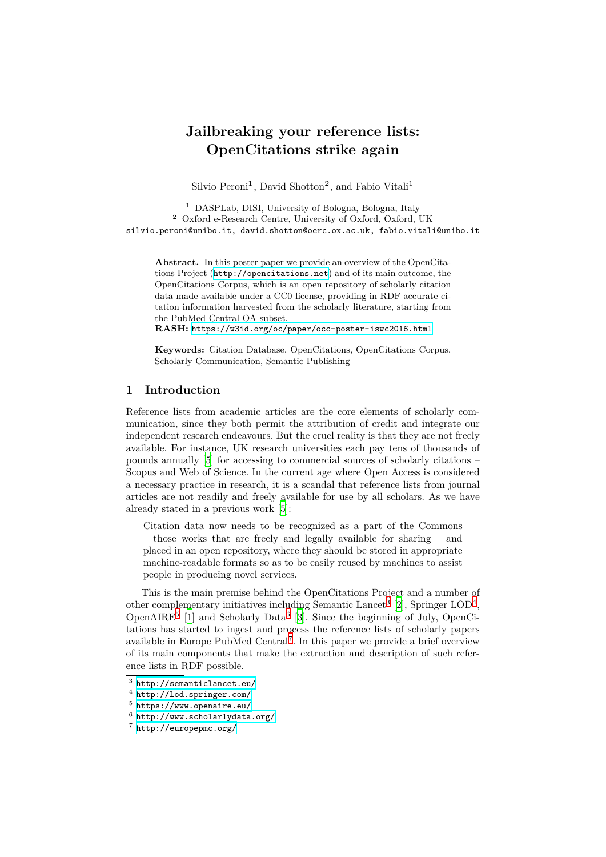# **Jailbreaking your reference lists: OpenCitations strike again**

Silvio Peroni<sup>1</sup>, David Shotton<sup>2</sup>, and Fabio Vitali<sup>1</sup>

<sup>1</sup> DASPLab, DISI, University of Bologna, Bologna, Italy <sup>ɞ</sup> Oxford e-Research Centre, University of Oxford, Oxford, UK silvio.peroni@unibo.it, david.shotton@oerc.ox.ac.uk, fabio.vitali@unibo.it

**Abstract.** In this poster paper we provide an overview of the OpenCitations Project (http://opencitations.net) and of its main outcome, the OpenCitations Corpus, which is an open repository of scholarly citation data made available under a CC0 license, providing in RDF accurate citation information harvested from the scholarly literature, starting from the PubMed Central OA subset.

**RASH:** http[s://w3id.org/oc/paper/occ](http://opencitations.net)-poster-iswc2016.html

**Keywords:** Citation Database, OpenCitations, OpenCitations Corpus, Scholarly Communication, Semantic Publishing

## **1 Introdu[ction](https://w3id.org/oc/paper/occ-poster-iswc2016.html)**

Reference lists from academic articles are the core elements of scholarly communication, since they both permit the attribution of credit and integrate our independent research endeavours. But the cruel reality is that they are not freely available. For instance, UK research universities each pay tens of thousands of pounds annually [5] for accessing to commercial sources of scholarly citations – Scopus and Web of Science. In the current age where Open Access is considered a necessary practice in research, it is a scandal that reference lists from journal articles are not readily and freely available for use by all scholars. As we have already stated in [a](#page-3-0) previous work [5]:

Citation data now needs to be recognized as a part of the Commons – those works that are freely and legally available for sharing – and placed in an open repository, where they should be stored in appropriate machine-readable formats so a[s t](#page-3-0)o be easily reused by machines to assist people in producing novel services.

This is the main premise behind the OpenCitations Project and a number of other complementary initiatives including Semantic Lancet<sup>3</sup> [2], Springer  $\text{LOD}^4$ , OpenAIRE<sup>5</sup> [1] and Scholarly Data<sup>6</sup> [3]. Since the beginning of July, OpenCitations has started to ingest and process the reference lists of scholarly papers available in Europe PubMed Central<sup>7</sup>. In this paper we provide a brief overview of its main components that make the extraction and descri[pt](#page-3-1)ion of such reference lists in [RD](#page-3-2)F possible.

<sup>3</sup> http://semanticlancet.eu/

<sup>4</sup> http://lod.springer.com/

<sup>5</sup> https://www.openaire.eu/

 $6$  http://www.scholarlydata.org/

<sup>7</sup> [http://europepmc.org/](http://semanticlancet.eu/)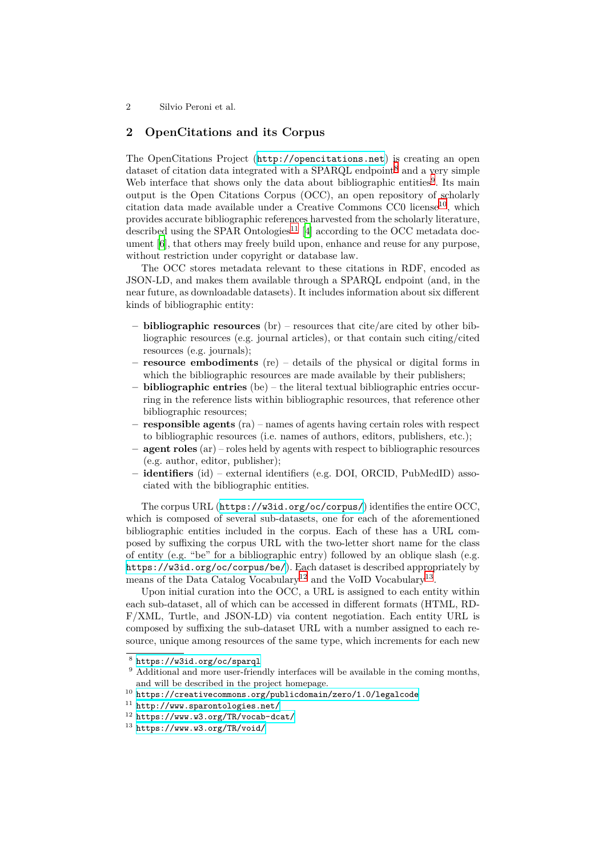2 Silvio Peroni et al.

## **2 OpenCitations and its Corpus**

The OpenCitations Project (http://opencitations.net) is creating an open dataset of citation data integrated with a SPARQL endpoint<sup>8</sup> and a very simple Web interface that shows only the data about bibliographic entities<sup>9</sup>. Its main output is the Open Citations Corpus (OCC), an open repository of scholarly citation data made available [under a Creative Commons](http://opencitations.net) CC0 license<sup>10</sup>, which provides accurate bibliographic references harvested from the scholarly literature, described using the SPAR Ontologies<sup>11</sup> [4] according to the OCC metadata document [6], that others may freely build upon, enhance and reuse for any purpose, without restriction under copyright or database law.

The OCC stores metadata relevant to these citations in RDF, encoded as JSON-LD, and makes them available th[ro](#page-3-3)ugh a SPARQL endpoint (and, in the near fu[tu](#page-3-4)re, as downloadable datasets). It includes information about six different kinds of bibliographic entity:

- **– bibliographic resources** (br) resources that cite/are cited by other bibliographic resources (e.g. journal articles), or that contain such citing/cited resources (e.g. journals);
- **– resource embodiments** (re) details of the physical or digital forms in which the bibliographic resources are made available by their publishers;
- **– bibliographic entries** (be) the literal textual bibliographic entries occurring in the reference lists within bibliographic resources, that reference other bibliographic resources;
- **– responsible agents** (ra) names of agents having certain roles with respect to bibliographic resources (i.e. names of authors, editors, publishers, etc.);
- **– agent roles** (ar) roles held by agents with respect to bibliographic resources (e.g. author, editor, publisher);
- **– identifiers** (id) external identifiers (e.g. DOI, ORCID, PubMedID) associated with the bibliographic entities.

The corpus URL (https://w3id.org/oc/corpus/) identifies the entire OCC, which is composed of several sub-datasets, one for each of the aforementioned bibliographic entities included in the corpus. Each of these has a URL composed by suffixing the corpus URL with the two-letter short name for the class of entity (e.g. "be" f[or a bibliographic entry\) followed](https://w3id.org/oc/corpus/) by an oblique slash (e.g. https://w3id.org/oc/corpus/be/). Each dataset is described appropriately by means of the Data Catalog Vocabulary<sup>12</sup> and the VoID Vocabulary<sup>13</sup>.

Upon initial curation into the OCC, a URL is assigned to each entity within each sub-dataset, all of which can be accessed in different formats (HTML, RD-[F/XML, Turtle, and JSON-LD\) via](https://w3id.org/oc/corpus/be/) content negotiation. Each entity URL is composed by suffixing the sub-dataset URL with a number assigned to each resource, unique among resources of the same type, which increments for each new

<sup>8</sup> https://w3id.org/oc/sparql

<sup>&</sup>lt;sup>9</sup> Additional and more user-friendly interfaces will be available in the coming months, and will be described in the project homepage.

 $^{10}$ https://creativecommons.org/publicdomain/zero/1.0/legalcode

 $^{11}$ [http://www.sparontologies.](https://w3id.org/oc/sparql)net/

<sup>12</sup> https://www.w3.org/TR/vocab-dcat/

 $13$  https://www.w3.org/TR/void/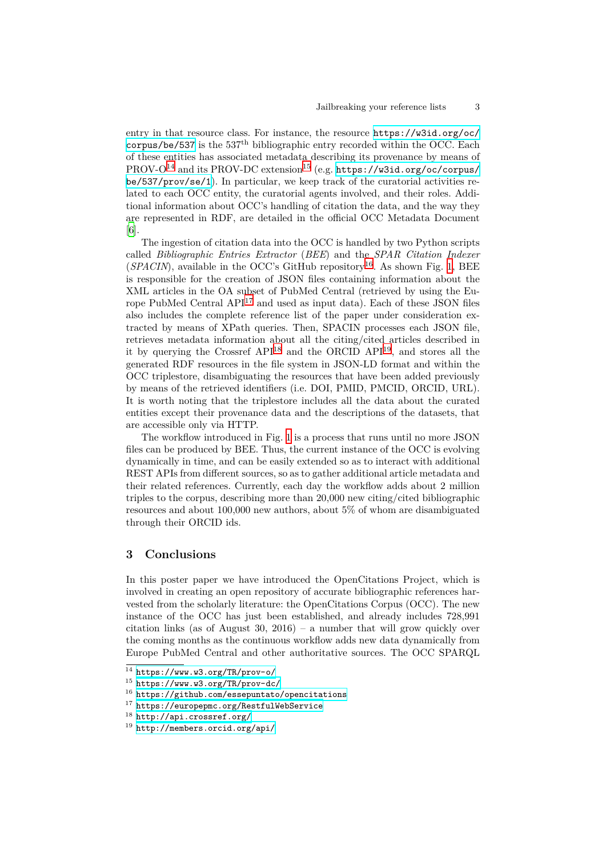entry in that resource class. For instance, the resource https://w3id.org/oc/ corpus/be/537 is the  $537<sup>th</sup>$  bibliographic entry recorded within the OCC. Each of these entities has associated metadata describing its provenance by means of PROV-O<sup>14</sup> and its PROV-DC extension<sup>15</sup> (e.g. https://w3id.org/oc/corpus/ be/537/prov/se/1). In particular, we keep track of th[e curatorial activities re](https://w3id.org/oc/corpus/be/537)[lated to each OC](https://w3id.org/oc/corpus/be/537)C entity, the curatorial agents involved, and their roles. Additional information about OCC's handling of citation the data, and the way they are represented in RDF, are detailed in the o[fficial OCC Metadata Document](https://w3id.org/oc/corpus/be/537/prov/se/1) [\[6\].](https://w3id.org/oc/corpus/be/537/prov/se/1)

The ingestion of citation data into the OCC is handled by two Python scripts called *Bibliographic Entries Extractor* (*BEE*) and the *SPAR Citation Indexer*  $(SPACIN)$ , available in the OCC's GitHub repository<sup>16</sup>. As shown Fig. 1, BEE i[s](#page-3-4) responsible for the creation of JSON files containing information about the XML articles in the OA subset of PubMed Central (retrieved by using the Europe PubMed Central API<sup>17</sup> and used as input data). Each of these JSON files also includes the complete reference list of the paper under considera[tio](#page-3-5)n extracted by means of XPath queries. Then, SPACIN processes each JSON file, retrieves metadata information about all the citing/cited articles described in it by querying the Crossref  $API<sup>18</sup>$  and the ORCID  $API<sup>19</sup>$ , and stores all the generated RDF resources in the file system in JSON-LD format and within the OCC triplestore, disambiguating the resources that have been added previously by means of the retrieved identifiers (i.e. DOI, PMID, PMCID, ORCID, URL). It is worth noting that the triplestore includes all the data about the curated entities except their provenance data and the descriptions of the datasets, that are accessible only via HTTP.

The workflow introduced in Fig. 1 is a process that runs until no more JSON files can be produced by BEE. Thus, the current instance of the OCC is evolving dynamically in time, and can be easily extended so as to interact with additional REST APIs from different sources, so as to gather additional article metadata and their related references. Currently, [ea](#page-3-5)ch day the workflow adds about 2 million triples to the corpus, describing more than 20,000 new citing/cited bibliographic resources and about 100,000 new authors, about 5% of whom are disambiguated through their ORCID ids.

## **3 Conclusions**

In this poster paper we have introduced the OpenCitations Project, which is involved in creating an open repository of accurate bibliographic references harvested from the scholarly literature: the OpenCitations Corpus (OCC). The new instance of the OCC has just been established, and already includes 728,991 citation links (as of August 30, 2016) – a number that will grow quickly over the coming months as the continuous workflow adds new data dynamically from Europe PubMed Central and other authoritative sources. The OCC SPARQL

<sup>14</sup> https://www.w3.org/TR/prov-o/

<sup>15</sup> https://www.w3.org/TR/prov-dc/

 $^{16}$ https://github.com/essepuntato/opencitations

<sup>17</sup> https://europepmc.org/RestfulWebService

<sup>18</sup> http://api.crossref.org/

<sup>19</sup> [http://members.orcid.org/api/](https://www.w3.org/TR/prov-dc/)